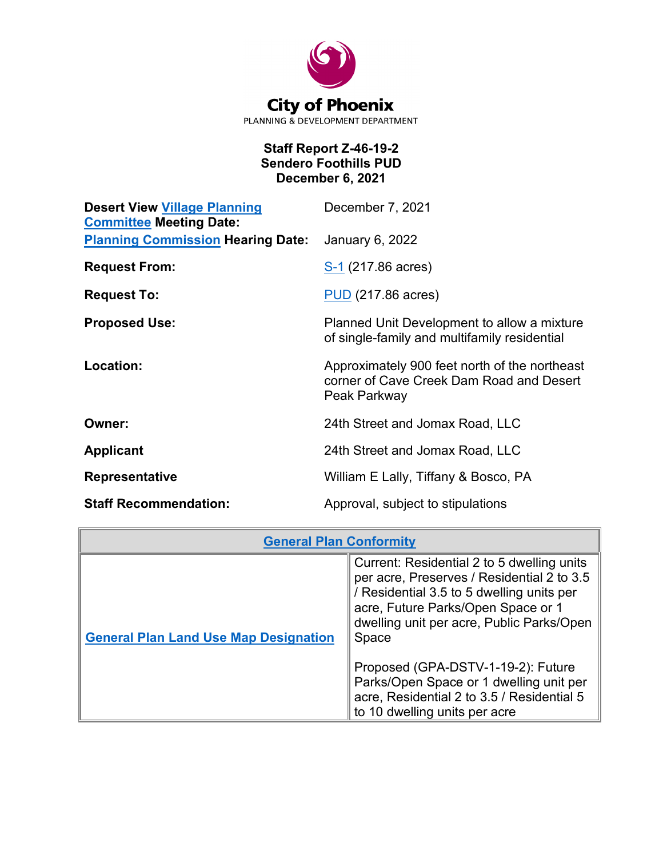

## **Staff Report Z-46-19-2 Sendero Foothills PUD December 6, 2021**

| <b>Desert View Village Planning</b><br><b>Committee Meeting Date:</b> | December 7, 2021                                                                                          |
|-----------------------------------------------------------------------|-----------------------------------------------------------------------------------------------------------|
| <b>Planning Commission Hearing Date:</b>                              | January 6, 2022                                                                                           |
| <b>Request From:</b>                                                  | S-1 (217.86 acres)                                                                                        |
| <b>Request To:</b>                                                    | <b>PUD</b> (217.86 acres)                                                                                 |
| <b>Proposed Use:</b>                                                  | Planned Unit Development to allow a mixture<br>of single-family and multifamily residential               |
| Location:                                                             | Approximately 900 feet north of the northeast<br>corner of Cave Creek Dam Road and Desert<br>Peak Parkway |
| Owner:                                                                | 24th Street and Jomax Road, LLC                                                                           |
| <b>Applicant</b>                                                      | 24th Street and Jomax Road, LLC                                                                           |
| <b>Representative</b>                                                 | William E Lally, Tiffany & Bosco, PA                                                                      |
| <b>Staff Recommendation:</b>                                          | Approval, subject to stipulations                                                                         |

| <b>General Plan Conformity</b>               |                                                                                                                                                                                                                                   |
|----------------------------------------------|-----------------------------------------------------------------------------------------------------------------------------------------------------------------------------------------------------------------------------------|
| <b>General Plan Land Use Map Designation</b> | Current: Residential 2 to 5 dwelling units<br>per acre, Preserves / Residential 2 to 3.5<br>/ Residential 3.5 to 5 dwelling units per<br>acre, Future Parks/Open Space or 1<br>dwelling unit per acre, Public Parks/Open<br>Space |
|                                              | Proposed (GPA-DSTV-1-19-2): Future<br>Parks/Open Space or 1 dwelling unit per<br>acre, Residential 2 to 3.5 / Residential 5<br>to 10 dwelling units per acre                                                                      |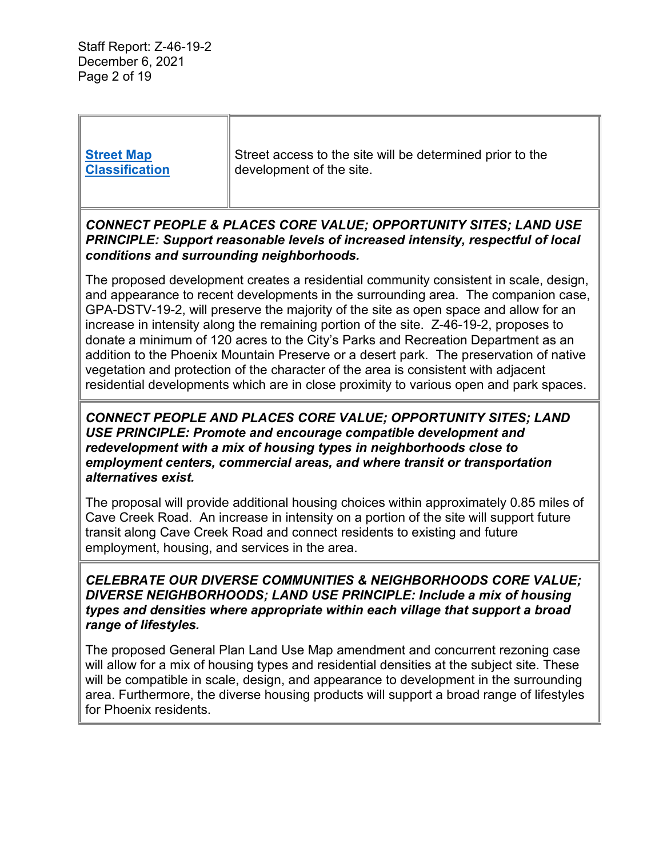Staff Report: Z-46-19-2 December 6, 2021 Page 2 of 19

| <b>Street Map</b><br><b>Classification</b>                                                                                                                                                                                                                                                                                                                                                                                                                                                                                                                                                                                                                                                                                  | Street access to the site will be determined prior to the<br>development of the site. |  |
|-----------------------------------------------------------------------------------------------------------------------------------------------------------------------------------------------------------------------------------------------------------------------------------------------------------------------------------------------------------------------------------------------------------------------------------------------------------------------------------------------------------------------------------------------------------------------------------------------------------------------------------------------------------------------------------------------------------------------------|---------------------------------------------------------------------------------------|--|
| CONNECT PEOPLE & PLACES CORE VALUE; OPPORTUNITY SITES; LAND USE<br>PRINCIPLE: Support reasonable levels of increased intensity, respectful of local<br>conditions and surrounding neighborhoods.                                                                                                                                                                                                                                                                                                                                                                                                                                                                                                                            |                                                                                       |  |
| The proposed development creates a residential community consistent in scale, design,<br>and appearance to recent developments in the surrounding area. The companion case,<br>GPA-DSTV-19-2, will preserve the majority of the site as open space and allow for an<br>increase in intensity along the remaining portion of the site. Z-46-19-2, proposes to<br>donate a minimum of 120 acres to the City's Parks and Recreation Department as an<br>addition to the Phoenix Mountain Preserve or a desert park. The preservation of native<br>vegetation and protection of the character of the area is consistent with adjacent<br>residential developments which are in close proximity to various open and park spaces. |                                                                                       |  |
| CONNECT PEOPLE AND PLACES CORE VALUE; OPPORTUNITY SITES; LAND<br>USE PRINCIPLE: Promote and encourage compatible development and<br>redevelopment with a mix of housing types in neighborhoods close to<br>employment centers, commercial areas, and where transit or transportation<br>alternatives exist.                                                                                                                                                                                                                                                                                                                                                                                                                 |                                                                                       |  |
| The proposal will provide additional housing choices within approximately 0.85 miles of<br>Cave Creek Road. An increase in intensity on a portion of the site will support future<br>transit along Cave Creek Road and connect residents to existing and future<br>employment, housing, and services in the area.                                                                                                                                                                                                                                                                                                                                                                                                           |                                                                                       |  |
| <b>CELEBRATE OUR DIVERSE COMMUNITIES &amp; NEIGHBORHOODS CORE VALUE;</b><br>DIVERSE NEIGHBORHOODS; LAND USE PRINCIPLE: Include a mix of housing<br>types and densities where appropriate within each village that support a broad<br>range of lifestyles.                                                                                                                                                                                                                                                                                                                                                                                                                                                                   |                                                                                       |  |
| The proposed General Plan Land Use Map amendment and concurrent rezoning case<br>will allow for a mix of housing types and residential densities at the subject site. These<br>will be compatible in scale, design, and appearance to development in the surrounding<br>area. Furthermore, the diverse housing products will support a broad range of lifestyles<br>for Phoenix residents.                                                                                                                                                                                                                                                                                                                                  |                                                                                       |  |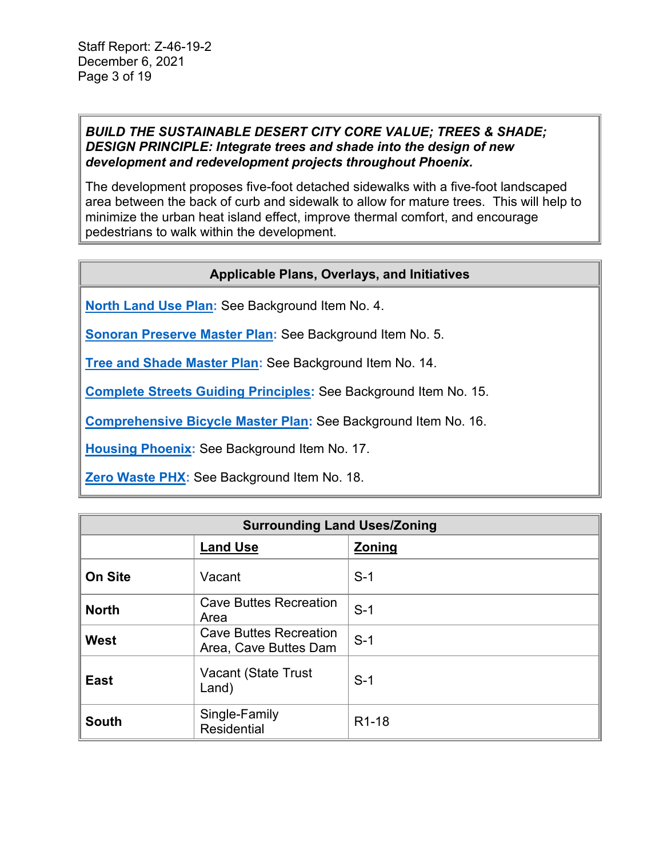#### *BUILD THE SUSTAINABLE DESERT CITY CORE VALUE; TREES & SHADE; DESIGN PRINCIPLE: Integrate trees and shade into the design of new development and redevelopment projects throughout Phoenix.*

The development proposes five-foot detached sidewalks with a five-foot landscaped area between the back of curb and sidewalk to allow for mature trees. This will help to minimize the urban heat island effect, improve thermal comfort, and encourage pedestrians to walk within the development.

## **Applicable Plans, Overlays, and Initiatives**

**[North Land Use Plan:](https://www.phoenix.gov/villagessite/Documents/pdd_pz_pdf_00087.pdf)** See Background Item No. 4.

**[Sonoran Preserve Master Plan:](https://www.phoenix.gov/parkssite/Documents/PKS_NRD/PKS_NRD_Sonoran_Preserve_1998_Plan.pdf)** See Background Item No. 5.

**[Tree and Shade Master Plan:](https://www.phoenix.gov/parks/parks/urban-forest/tree-and-shade)** See Background Item No. 14.

**Complete Streets [Guiding Principles:](https://www.phoenix.gov/streetssite/Documents/Complete_Streets_Principles_Ordinance.pdf)** See Background Item No. 15.

**[Comprehensive Bicycle Master Plan:](https://www.phoenix.gov/streetssite/Documents/Bicycle%20Master%20Plan/2014bikePHX_Final_web.pdf)** See Background Item No. 16.

**[Housing Phoenix:](https://www.phoenix.gov/housingsite/Documents/Final_Housing_Phx_Plan.pdf)** See Background Item No. 17.

**[Zero Waste PHX:](https://www.phoenix.gov/publicworks/reimagine)** See Background Item No. 18.

| <b>Surrounding Land Uses/Zoning</b> |                                                        |                    |
|-------------------------------------|--------------------------------------------------------|--------------------|
|                                     | <b>Land Use</b>                                        | <b>Zoning</b>      |
| <b>On Site</b>                      | Vacant                                                 | $S-1$              |
| <b>North</b>                        | <b>Cave Buttes Recreation</b><br>Area                  | $S-1$              |
| West                                | <b>Cave Buttes Recreation</b><br>Area, Cave Buttes Dam | $S-1$              |
| <b>East</b>                         | Vacant (State Trust<br>Land)                           | $S-1$              |
| <b>South</b>                        | Single-Family<br><b>Residential</b>                    | R <sub>1</sub> -18 |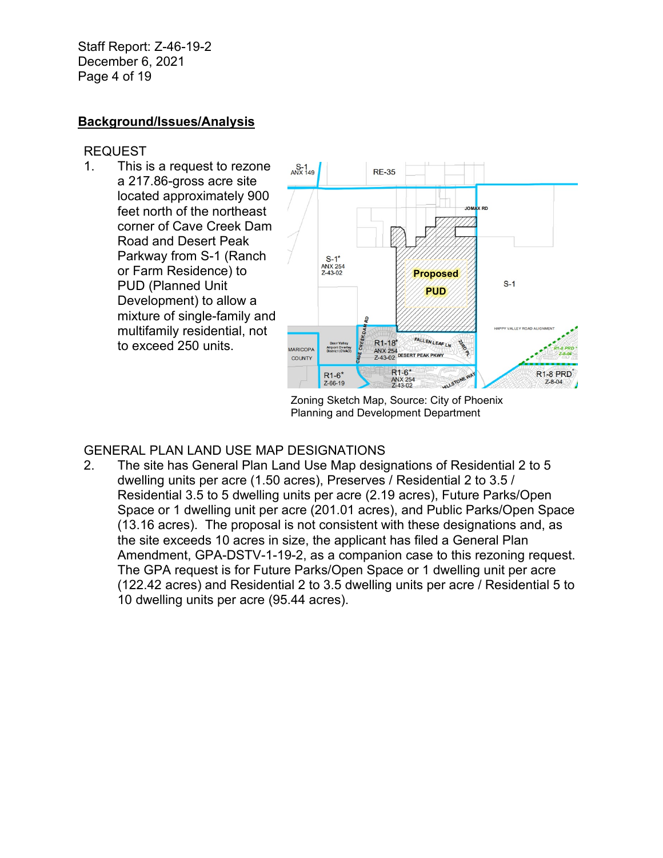Staff Report: Z-46-19-2 December 6, 2021 Page 4 of 19

## **Background/Issues/Analysis**

### REQUEST

1. This is a request to rezone a 217.86-gross acre site located approximately 900 feet north of the northeast corner of Cave Creek Dam Road and Desert Peak Parkway from S-1 (Ranch or Farm Residence) to PUD (Planned Unit Development) to allow a mixture of single-family and multifamily residential, not to exceed 250 units.



Zoning Sketch Map, Source: City of Phoenix Planning and Development Department

#### GENERAL PLAN LAND USE MAP DESIGNATIONS

2. The site has General Plan Land Use Map designations of Residential 2 to 5 dwelling units per acre (1.50 acres), Preserves / Residential 2 to 3.5 / Residential 3.5 to 5 dwelling units per acre (2.19 acres), Future Parks/Open Space or 1 dwelling unit per acre (201.01 acres), and Public Parks/Open Space (13.16 acres). The proposal is not consistent with these designations and, as the site exceeds 10 acres in size, the applicant has filed a General Plan Amendment, GPA-DSTV-1-19-2, as a companion case to this rezoning request. The GPA request is for Future Parks/Open Space or 1 dwelling unit per acre (122.42 acres) and Residential 2 to 3.5 dwelling units per acre / Residential 5 to 10 dwelling units per acre (95.44 acres).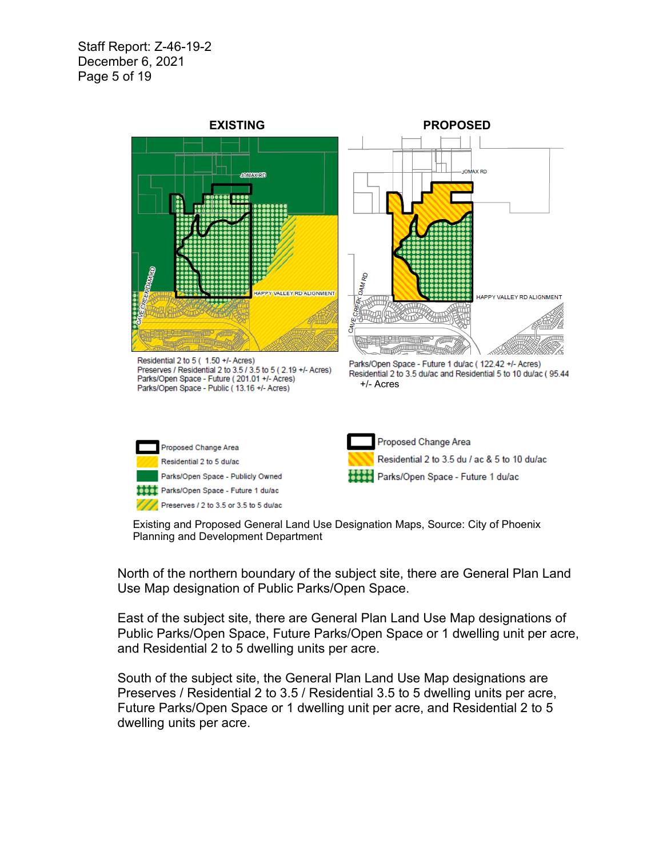Staff Report: Z-46-19-2 December 6, 2021 Page 5 of 19



Existing and Proposed General Land Use Designation Maps, Source: City of Phoenix Planning and Development Department

North of the northern boundary of the subject site, there are General Plan Land Use Map designation of Public Parks/Open Space.

East of the subject site, there are General Plan Land Use Map designations of Public Parks/Open Space, Future Parks/Open Space or 1 dwelling unit per acre, and Residential 2 to 5 dwelling units per acre.

South of the subject site, the General Plan Land Use Map designations are Preserves / Residential 2 to 3.5 / Residential 3.5 to 5 dwelling units per acre, Future Parks/Open Space or 1 dwelling unit per acre, and Residential 2 to 5 dwelling units per acre.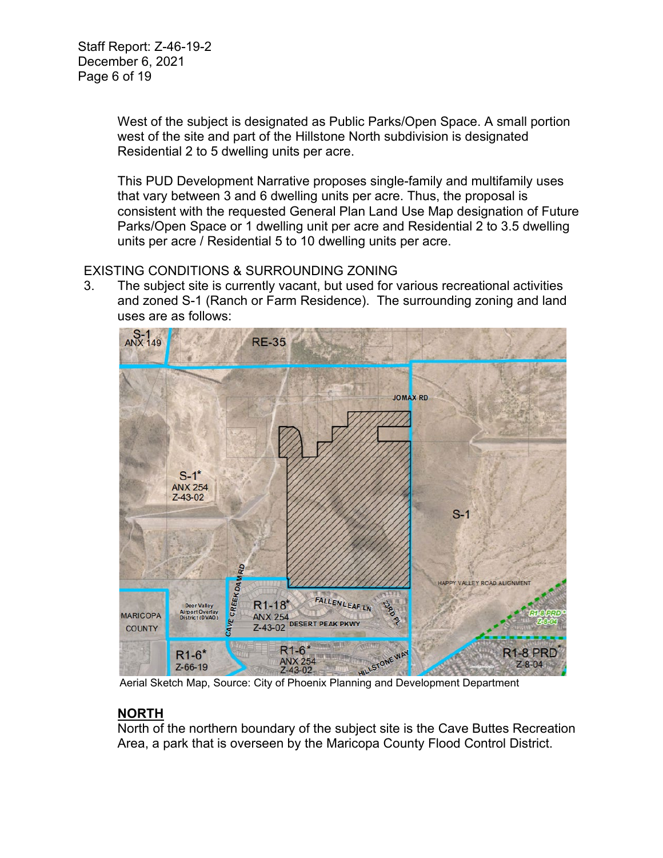West of the subject is designated as Public Parks/Open Space. A small portion west of the site and part of the Hillstone North subdivision is designated Residential 2 to 5 dwelling units per acre.

This PUD Development Narrative proposes single-family and multifamily uses that vary between 3 and 6 dwelling units per acre. Thus, the proposal is consistent with the requested General Plan Land Use Map designation of Future Parks/Open Space or 1 dwelling unit per acre and Residential 2 to 3.5 dwelling units per acre / Residential 5 to 10 dwelling units per acre.

## EXISTING CONDITIONS & SURROUNDING ZONING

3. The subject site is currently vacant, but used for various recreational activities and zoned S-1 (Ranch or Farm Residence). The surrounding zoning and land uses are as follows:



Aerial Sketch Map, Source: City of Phoenix Planning and Development Department

# **NORTH**

North of the northern boundary of the subject site is the Cave Buttes Recreation Area, a park that is overseen by the Maricopa County Flood Control District.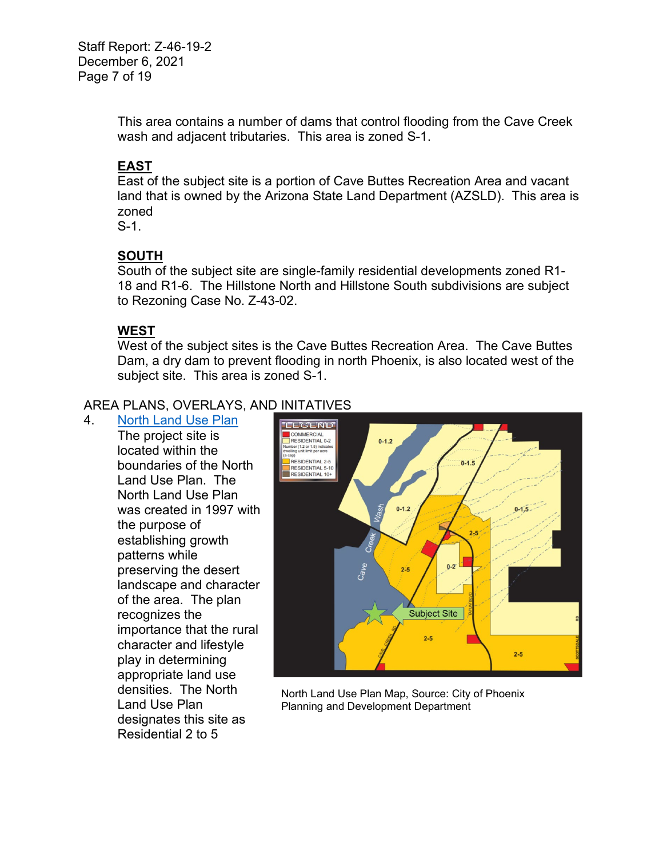Staff Report: Z-46-19-2 December 6, 2021 Page 7 of 19

> This area contains a number of dams that control flooding from the Cave Creek wash and adjacent tributaries. This area is zoned S-1.

## **EAST**

East of the subject site is a portion of Cave Buttes Recreation Area and vacant land that is owned by the Arizona State Land Department (AZSLD). This area is zoned

S-1.

## **SOUTH**

South of the subject site are single-family residential developments zoned R1- 18 and R1-6. The Hillstone North and Hillstone South subdivisions are subject to Rezoning Case No. Z-43-02.

## **WEST**

West of the subject sites is the Cave Buttes Recreation Area. The Cave Buttes Dam, a dry dam to prevent flooding in north Phoenix, is also located west of the subject site. This area is zoned S-1.

## AREA PLANS, OVERLAYS, AND INITATIVES

4. [North Land Use Plan](https://www.phoenix.gov/villagessite/Documents/pdd_pz_pdf_00087.pdf)

The project site is located within the boundaries of the North Land Use Plan. The North Land Use Plan was created in 1997 with the purpose of establishing growth patterns while preserving the desert landscape and character of the area. The plan recognizes the importance that the rural character and lifestyle play in determining appropriate land use densities. The North Land Use Plan designates this site as Residential 2 to 5



North Land Use Plan Map, Source: City of Phoenix Planning and Development Department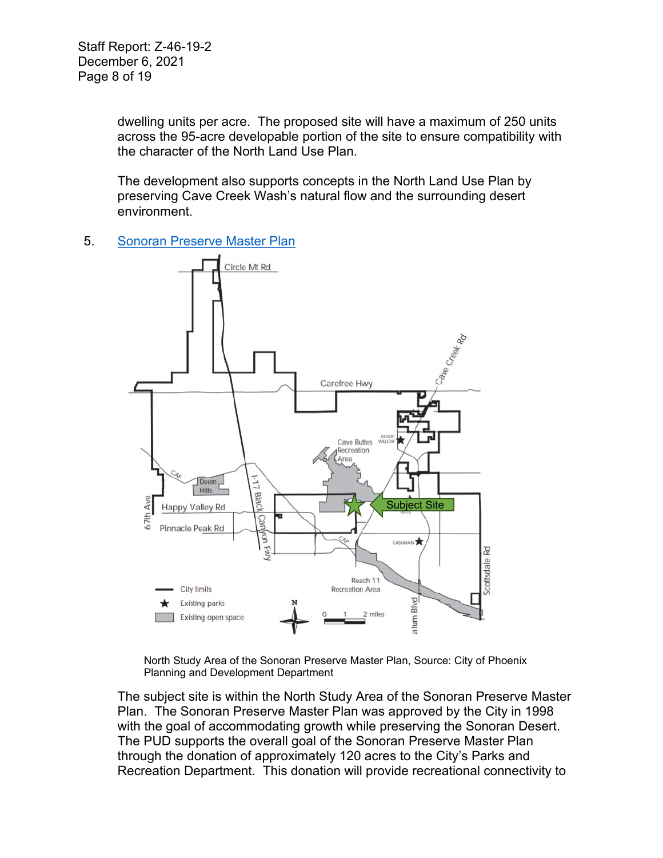dwelling units per acre. The proposed site will have a maximum of 250 units across the 95-acre developable portion of the site to ensure compatibility with the character of the North Land Use Plan.

The development also supports concepts in the North Land Use Plan by preserving Cave Creek Wash's natural flow and the surrounding desert environment.

5. [Sonoran Preserve Master Plan](https://www.phoenix.gov/parkssite/Documents/PKS_NRD/PKS_NRD_Sonoran_Preserve_1998_Plan.pdf)



North Study Area of the Sonoran Preserve Master Plan, Source: City of Phoenix Planning and Development Department

The subject site is within the North Study Area of the Sonoran Preserve Master Plan. The Sonoran Preserve Master Plan was approved by the City in 1998 with the goal of accommodating growth while preserving the Sonoran Desert. The PUD supports the overall goal of the Sonoran Preserve Master Plan through the donation of approximately 120 acres to the City's Parks and Recreation Department. This donation will provide recreational connectivity to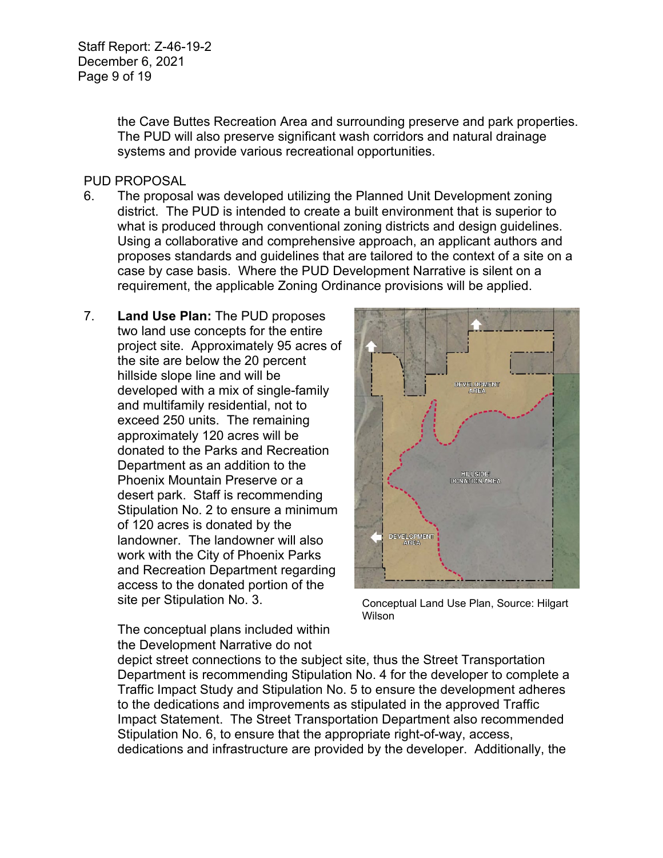Staff Report: Z-46-19-2 December 6, 2021 Page 9 of 19

> the Cave Buttes Recreation Area and surrounding preserve and park properties. The PUD will also preserve significant wash corridors and natural drainage systems and provide various recreational opportunities.

#### PUD PROPOSAL

- 6. The proposal was developed utilizing the Planned Unit Development zoning district. The PUD is intended to create a built environment that is superior to what is produced through conventional zoning districts and design guidelines. Using a collaborative and comprehensive approach, an applicant authors and proposes standards and guidelines that are tailored to the context of a site on a case by case basis. Where the PUD Development Narrative is silent on a requirement, the applicable Zoning Ordinance provisions will be applied.
- 7. **Land Use Plan:** The PUD proposes two land use concepts for the entire project site. Approximately 95 acres of the site are below the 20 percent hillside slope line and will be developed with a mix of single-family and multifamily residential, not to exceed 250 units. The remaining approximately 120 acres will be donated to the Parks and Recreation Department as an addition to the Phoenix Mountain Preserve or a desert park. Staff is recommending Stipulation No. 2 to ensure a minimum of 120 acres is donated by the landowner. The landowner will also work with the City of Phoenix Parks and Recreation Department regarding access to the donated portion of the site per Stipulation No. 3.



Conceptual Land Use Plan, Source: Hilgart Wilson

The conceptual plans included within the Development Narrative do not

depict street connections to the subject site, thus the Street Transportation Department is recommending Stipulation No. 4 for the developer to complete a Traffic Impact Study and Stipulation No. 5 to ensure the development adheres to the dedications and improvements as stipulated in the approved Traffic Impact Statement. The Street Transportation Department also recommended Stipulation No. 6, to ensure that the appropriate right-of-way, access, dedications and infrastructure are provided by the developer. Additionally, the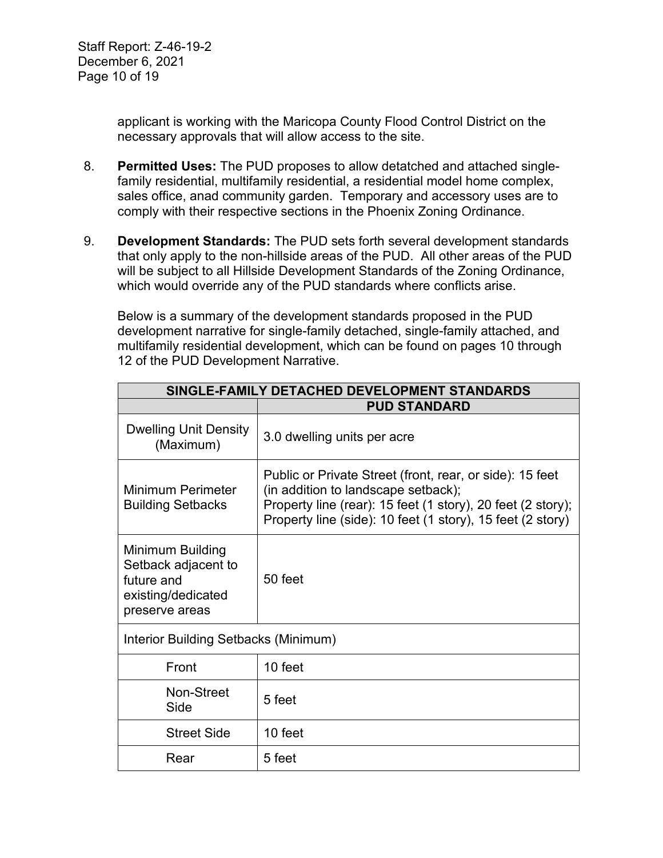Staff Report: Z-46-19-2 December 6, 2021 Page 10 of 19

> applicant is working with the Maricopa County Flood Control District on the necessary approvals that will allow access to the site.

- 8. **Permitted Uses:** The PUD proposes to allow detatched and attached singlefamily residential, multifamily residential, a residential model home complex, sales office, anad community garden. Temporary and accessory uses are to comply with their respective sections in the Phoenix Zoning Ordinance.
- 9. **Development Standards:** The PUD sets forth several development standards that only apply to the non-hillside areas of the PUD. All other areas of the PUD will be subject to all Hillside Development Standards of the Zoning Ordinance, which would override any of the PUD standards where conflicts arise.

Below is a summary of the development standards proposed in the PUD development narrative for single-family detached, single-family attached, and multifamily residential development, which can be found on pages 10 through 12 of the PUD Development Narrative.

| SINGLE-FAMILY DETACHED DEVELOPMENT STANDARDS                                                  |                                                                                                                                                                                                                              |  |
|-----------------------------------------------------------------------------------------------|------------------------------------------------------------------------------------------------------------------------------------------------------------------------------------------------------------------------------|--|
|                                                                                               | <b>PUD STANDARD</b>                                                                                                                                                                                                          |  |
| <b>Dwelling Unit Density</b><br>(Maximum)                                                     | 3.0 dwelling units per acre                                                                                                                                                                                                  |  |
| Minimum Perimeter<br><b>Building Setbacks</b>                                                 | Public or Private Street (front, rear, or side): 15 feet<br>(in addition to landscape setback);<br>Property line (rear): 15 feet (1 story), 20 feet (2 story);<br>Property line (side): 10 feet (1 story), 15 feet (2 story) |  |
| Minimum Building<br>Setback adjacent to<br>future and<br>existing/dedicated<br>preserve areas | 50 feet                                                                                                                                                                                                                      |  |
| Interior Building Setbacks (Minimum)                                                          |                                                                                                                                                                                                                              |  |
| Front                                                                                         | 10 feet                                                                                                                                                                                                                      |  |
| Non-Street<br>Side                                                                            | 5 feet                                                                                                                                                                                                                       |  |
| <b>Street Side</b>                                                                            | 10 feet                                                                                                                                                                                                                      |  |
| Rear                                                                                          | 5 feet                                                                                                                                                                                                                       |  |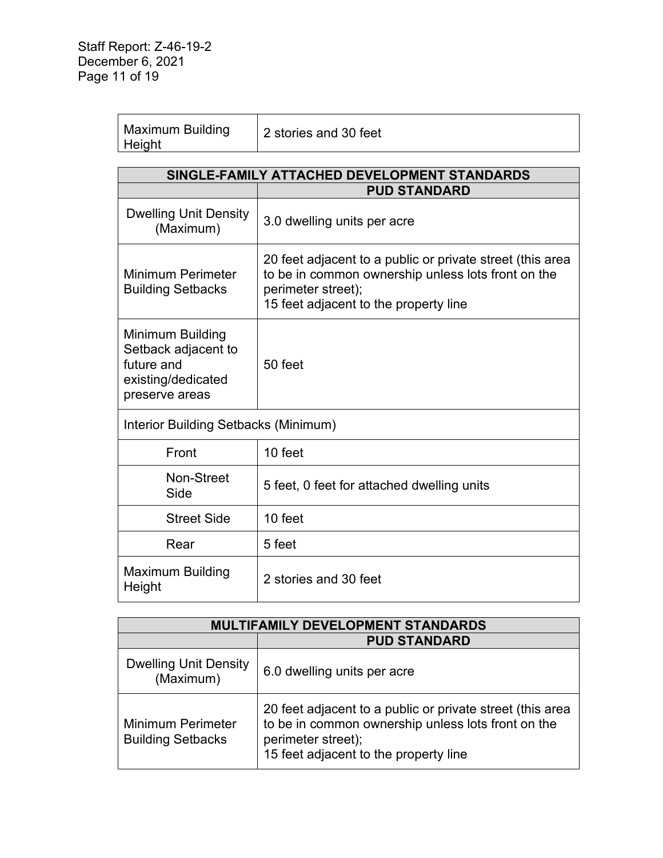| <b>Maximum Building</b><br>Height | 2 stories and 30 feet |
|-----------------------------------|-----------------------|
|-----------------------------------|-----------------------|

| SINGLE-FAMILY ATTACHED DEVELOPMENT STANDARDS                                                  |                                                                                                                                                                                |  |
|-----------------------------------------------------------------------------------------------|--------------------------------------------------------------------------------------------------------------------------------------------------------------------------------|--|
|                                                                                               | <b>PUD STANDARD</b>                                                                                                                                                            |  |
| <b>Dwelling Unit Density</b><br>(Maximum)                                                     | 3.0 dwelling units per acre                                                                                                                                                    |  |
| <b>Minimum Perimeter</b><br><b>Building Setbacks</b>                                          | 20 feet adjacent to a public or private street (this area<br>to be in common ownership unless lots front on the<br>perimeter street);<br>15 feet adjacent to the property line |  |
| Minimum Building<br>Setback adjacent to<br>future and<br>existing/dedicated<br>preserve areas | 50 feet                                                                                                                                                                        |  |
| Interior Building Setbacks (Minimum)                                                          |                                                                                                                                                                                |  |
| Front                                                                                         | 10 feet                                                                                                                                                                        |  |
| Non-Street<br>Side                                                                            | 5 feet, 0 feet for attached dwelling units                                                                                                                                     |  |
| <b>Street Side</b>                                                                            | 10 feet                                                                                                                                                                        |  |
| Rear                                                                                          | 5 feet                                                                                                                                                                         |  |
| <b>Maximum Building</b><br>Height                                                             | 2 stories and 30 feet                                                                                                                                                          |  |

| MULTIFAMILY DEVELOPMENT STANDARDS                    |                                                                                                                                                                                |
|------------------------------------------------------|--------------------------------------------------------------------------------------------------------------------------------------------------------------------------------|
|                                                      | <b>PUD STANDARD</b>                                                                                                                                                            |
| <b>Dwelling Unit Density</b><br>(Maximum)            | 6.0 dwelling units per acre                                                                                                                                                    |
| <b>Minimum Perimeter</b><br><b>Building Setbacks</b> | 20 feet adjacent to a public or private street (this area<br>to be in common ownership unless lots front on the<br>perimeter street);<br>15 feet adjacent to the property line |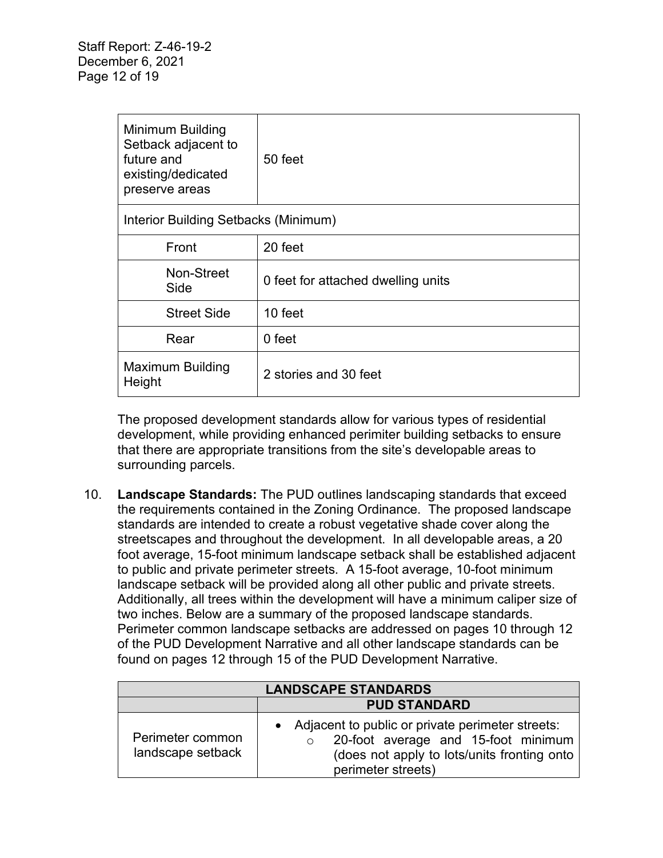| Minimum Building<br>Setback adjacent to<br>future and<br>existing/dedicated<br>preserve areas | 50 feet                            |
|-----------------------------------------------------------------------------------------------|------------------------------------|
| Interior Building Setbacks (Minimum)                                                          |                                    |
| Front                                                                                         | 20 feet                            |
| Non-Street<br>Side                                                                            | 0 feet for attached dwelling units |
| <b>Street Side</b>                                                                            | 10 feet                            |
| Rear                                                                                          | 0 feet                             |
| <b>Maximum Building</b><br>Height                                                             | 2 stories and 30 feet              |

The proposed development standards allow for various types of residential development, while providing enhanced perimiter building setbacks to ensure that there are appropriate transitions from the site's developable areas to surrounding parcels.

10. **Landscape Standards:** The PUD outlines landscaping standards that exceed the requirements contained in the Zoning Ordinance. The proposed landscape standards are intended to create a robust vegetative shade cover along the streetscapes and throughout the development. In all developable areas, a 20 foot average, 15-foot minimum landscape setback shall be established adjacent to public and private perimeter streets. A 15-foot average, 10-foot minimum landscape setback will be provided along all other public and private streets. Additionally, all trees within the development will have a minimum caliper size of two inches. Below are a summary of the proposed landscape standards. Perimeter common landscape setbacks are addressed on pages 10 through 12 of the PUD Development Narrative and all other landscape standards can be found on pages 12 through 15 of the PUD Development Narrative.

| <b>LANDSCAPE STANDARDS</b>            |                                                                                                                                                              |
|---------------------------------------|--------------------------------------------------------------------------------------------------------------------------------------------------------------|
|                                       | <b>PUD STANDARD</b>                                                                                                                                          |
| Perimeter common<br>landscape setback | Adjacent to public or private perimeter streets:<br>20-foot average and 15-foot minimum<br>(does not apply to lots/units fronting onto<br>perimeter streets) |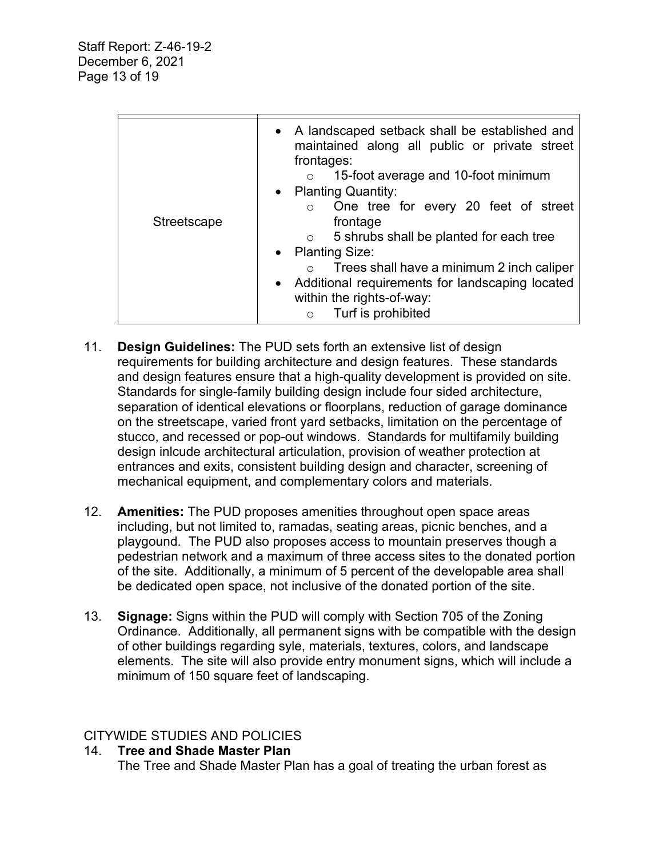| <b>Streetscape</b> | • A landscaped setback shall be established and<br>maintained along all public or private street<br>frontages:<br>15-foot average and 10-foot minimum<br>• Planting Quantity:<br>One tree for every 20 feet of street<br>$\circ$<br>frontage<br>5 shrubs shall be planted for each tree<br>$\circ$<br>• Planting Size:<br>Trees shall have a minimum 2 inch caliper<br>• Additional requirements for landscaping located<br>within the rights-of-way:<br>Turf is prohibited<br>$\circ$ |
|--------------------|----------------------------------------------------------------------------------------------------------------------------------------------------------------------------------------------------------------------------------------------------------------------------------------------------------------------------------------------------------------------------------------------------------------------------------------------------------------------------------------|
|                    |                                                                                                                                                                                                                                                                                                                                                                                                                                                                                        |

- 11. **Design Guidelines:** The PUD sets forth an extensive list of design requirements for building architecture and design features. These standards and design features ensure that a high-quality development is provided on site. Standards for single-family building design include four sided architecture, separation of identical elevations or floorplans, reduction of garage dominance on the streetscape, varied front yard setbacks, limitation on the percentage of stucco, and recessed or pop-out windows. Standards for multifamily building design inlcude architectural articulation, provision of weather protection at entrances and exits, consistent building design and character, screening of mechanical equipment, and complementary colors and materials.
- 12. **Amenities:** The PUD proposes amenities throughout open space areas including, but not limited to, ramadas, seating areas, picnic benches, and a playgound. The PUD also proposes access to mountain preserves though a pedestrian network and a maximum of three access sites to the donated portion of the site. Additionally, a minimum of 5 percent of the developable area shall be dedicated open space, not inclusive of the donated portion of the site.
- 13. **Signage:** Signs within the PUD will comply with Section 705 of the Zoning Ordinance. Additionally, all permanent signs with be compatible with the design of other buildings regarding syle, materials, textures, colors, and landscape elements. The site will also provide entry monument signs, which will include a minimum of 150 square feet of landscaping.

## CITYWIDE STUDIES AND POLICIES

#### 14. **Tree and Shade Master Plan**

The Tree and Shade Master Plan has a goal of treating the urban forest as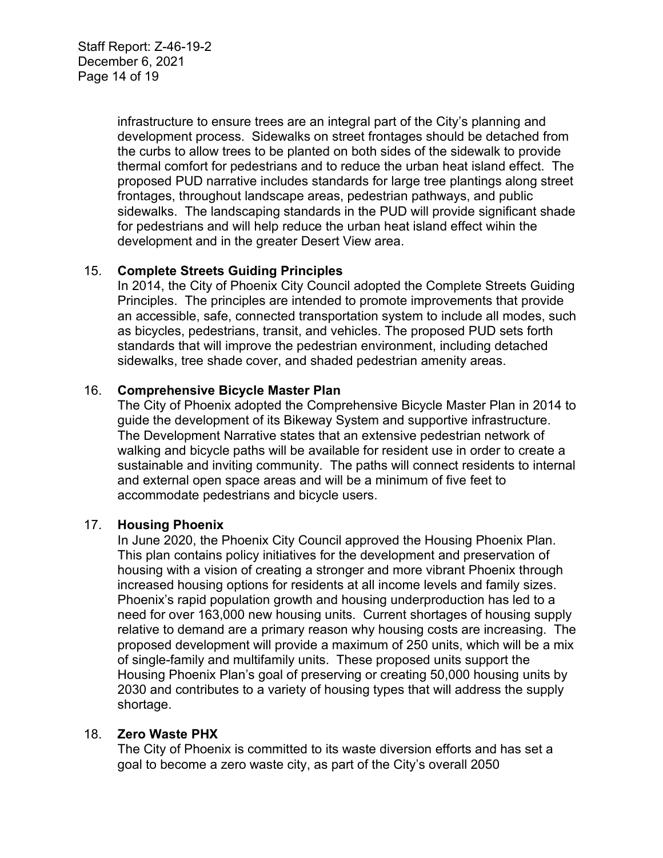Staff Report: Z-46-19-2 December 6, 2021 Page 14 of 19

> infrastructure to ensure trees are an integral part of the City's planning and development process. Sidewalks on street frontages should be detached from the curbs to allow trees to be planted on both sides of the sidewalk to provide thermal comfort for pedestrians and to reduce the urban heat island effect. The proposed PUD narrative includes standards for large tree plantings along street frontages, throughout landscape areas, pedestrian pathways, and public sidewalks. The landscaping standards in the PUD will provide significant shade for pedestrians and will help reduce the urban heat island effect wihin the development and in the greater Desert View area.

#### 15. **Complete Streets Guiding Principles**

In 2014, the City of Phoenix City Council adopted the Complete Streets Guiding Principles. The principles are intended to promote improvements that provide an accessible, safe, connected transportation system to include all modes, such as bicycles, pedestrians, transit, and vehicles. The proposed PUD sets forth standards that will improve the pedestrian environment, including detached sidewalks, tree shade cover, and shaded pedestrian amenity areas.

## 16. **Comprehensive Bicycle Master Plan**

The City of Phoenix adopted the Comprehensive Bicycle Master Plan in 2014 to guide the development of its Bikeway System and supportive infrastructure. The Development Narrative states that an extensive pedestrian network of walking and bicycle paths will be available for resident use in order to create a sustainable and inviting community. The paths will connect residents to internal and external open space areas and will be a minimum of five feet to accommodate pedestrians and bicycle users.

#### 17. **Housing Phoenix**

In June 2020, the Phoenix City Council approved the Housing Phoenix Plan. This plan contains policy initiatives for the development and preservation of housing with a vision of creating a stronger and more vibrant Phoenix through increased housing options for residents at all income levels and family sizes. Phoenix's rapid population growth and housing underproduction has led to a need for over 163,000 new housing units. Current shortages of housing supply relative to demand are a primary reason why housing costs are increasing. The proposed development will provide a maximum of 250 units, which will be a mix of single-family and multifamily units. These proposed units support the Housing Phoenix Plan's goal of preserving or creating 50,000 housing units by 2030 and contributes to a variety of housing types that will address the supply shortage.

#### 18. **Zero Waste PHX**

The City of Phoenix is committed to its waste diversion efforts and has set a goal to become a zero waste city, as part of the City's overall 2050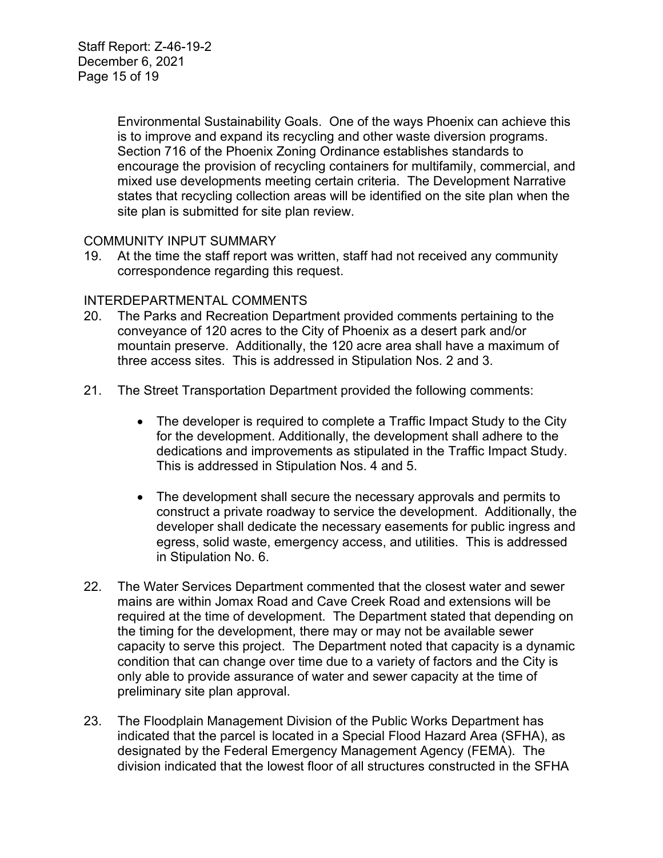Environmental Sustainability Goals. One of the ways Phoenix can achieve this is to improve and expand its recycling and other waste diversion programs. Section 716 of the Phoenix Zoning Ordinance establishes standards to encourage the provision of recycling containers for multifamily, commercial, and mixed use developments meeting certain criteria. The Development Narrative states that recycling collection areas will be identified on the site plan when the site plan is submitted for site plan review.

## COMMUNITY INPUT SUMMARY

19. At the time the staff report was written, staff had not received any community correspondence regarding this request.

## INTERDEPARTMENTAL COMMENTS

- 20. The Parks and Recreation Department provided comments pertaining to the conveyance of 120 acres to the City of Phoenix as a desert park and/or mountain preserve. Additionally, the 120 acre area shall have a maximum of three access sites. This is addressed in Stipulation Nos. 2 and 3.
- 21. The Street Transportation Department provided the following comments:
	- The developer is required to complete a Traffic Impact Study to the City for the development. Additionally, the development shall adhere to the dedications and improvements as stipulated in the Traffic Impact Study. This is addressed in Stipulation Nos. 4 and 5.
	- The development shall secure the necessary approvals and permits to construct a private roadway to service the development. Additionally, the developer shall dedicate the necessary easements for public ingress and egress, solid waste, emergency access, and utilities. This is addressed in Stipulation No. 6.
- 22. The Water Services Department commented that the closest water and sewer mains are within Jomax Road and Cave Creek Road and extensions will be required at the time of development. The Department stated that depending on the timing for the development, there may or may not be available sewer capacity to serve this project. The Department noted that capacity is a dynamic condition that can change over time due to a variety of factors and the City is only able to provide assurance of water and sewer capacity at the time of preliminary site plan approval.
- 23. The Floodplain Management Division of the Public Works Department has indicated that the parcel is located in a Special Flood Hazard Area (SFHA), as designated by the Federal Emergency Management Agency (FEMA). The division indicated that the lowest floor of all structures constructed in the SFHA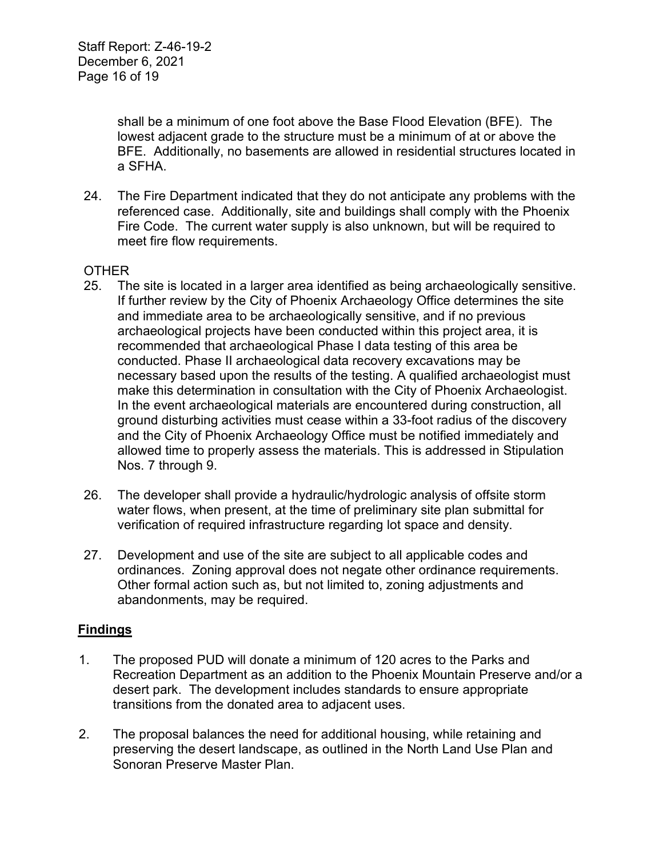shall be a minimum of one foot above the Base Flood Elevation (BFE). The lowest adjacent grade to the structure must be a minimum of at or above the BFE. Additionally, no basements are allowed in residential structures located in a SFHA.

24. The Fire Department indicated that they do not anticipate any problems with the referenced case. Additionally, site and buildings shall comply with the Phoenix Fire Code. The current water supply is also unknown, but will be required to meet fire flow requirements.

## **OTHER**

- 25. The site is located in a larger area identified as being archaeologically sensitive. If further review by the City of Phoenix Archaeology Office determines the site and immediate area to be archaeologically sensitive, and if no previous archaeological projects have been conducted within this project area, it is recommended that archaeological Phase I data testing of this area be conducted. Phase II archaeological data recovery excavations may be necessary based upon the results of the testing. A qualified archaeologist must make this determination in consultation with the City of Phoenix Archaeologist. In the event archaeological materials are encountered during construction, all ground disturbing activities must cease within a 33-foot radius of the discovery and the City of Phoenix Archaeology Office must be notified immediately and allowed time to properly assess the materials. This is addressed in Stipulation Nos. 7 through 9.
- 26. The developer shall provide a hydraulic/hydrologic analysis of offsite storm water flows, when present, at the time of preliminary site plan submittal for verification of required infrastructure regarding lot space and density.
- 27. Development and use of the site are subject to all applicable codes and ordinances. Zoning approval does not negate other ordinance requirements. Other formal action such as, but not limited to, zoning adjustments and abandonments, may be required.

#### **Findings**

- 1. The proposed PUD will donate a minimum of 120 acres to the Parks and Recreation Department as an addition to the Phoenix Mountain Preserve and/or a desert park. The development includes standards to ensure appropriate transitions from the donated area to adjacent uses.
- 2. The proposal balances the need for additional housing, while retaining and preserving the desert landscape, as outlined in the North Land Use Plan and Sonoran Preserve Master Plan.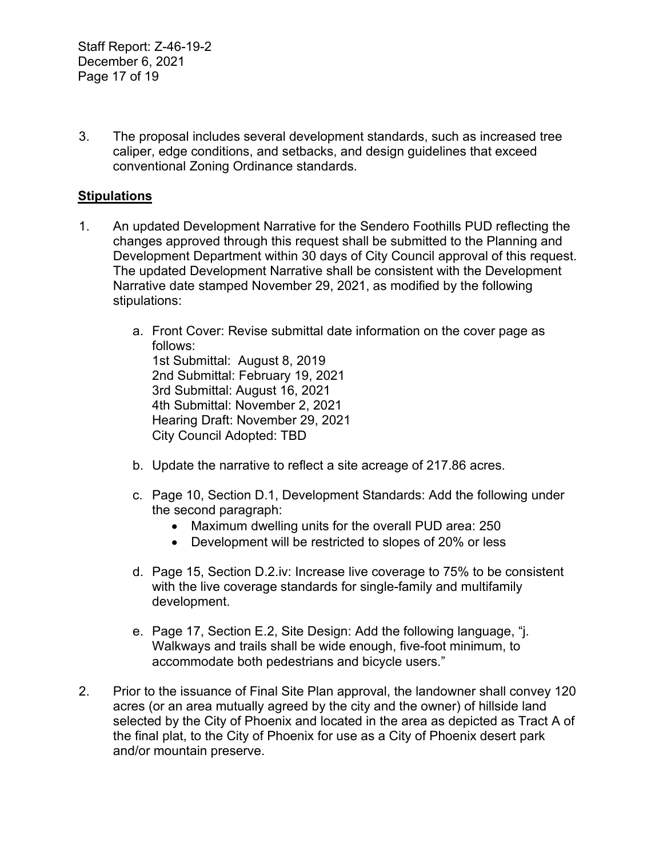3. The proposal includes several development standards, such as increased tree caliper, edge conditions, and setbacks, and design guidelines that exceed conventional Zoning Ordinance standards.

## **Stipulations**

- 1. An updated Development Narrative for the Sendero Foothills PUD reflecting the changes approved through this request shall be submitted to the Planning and Development Department within 30 days of City Council approval of this request. The updated Development Narrative shall be consistent with the Development Narrative date stamped November 29, 2021, as modified by the following stipulations:
	- a. Front Cover: Revise submittal date information on the cover page as follows: 1st Submittal: August 8, 2019 2nd Submittal: February 19, 2021 3rd Submittal: August 16, 2021 4th Submittal: November 2, 2021 Hearing Draft: November 29, 2021 City Council Adopted: TBD
	- b. Update the narrative to reflect a site acreage of 217.86 acres.
	- c. Page 10, Section D.1, Development Standards: Add the following under the second paragraph:
		- Maximum dwelling units for the overall PUD area: 250
		- Development will be restricted to slopes of 20% or less
	- d. Page 15, Section D.2.iv: Increase live coverage to 75% to be consistent with the live coverage standards for single-family and multifamily development.
	- e. Page 17, Section E.2, Site Design: Add the following language, "j. Walkways and trails shall be wide enough, five-foot minimum, to accommodate both pedestrians and bicycle users."
- 2. Prior to the issuance of Final Site Plan approval, the landowner shall convey 120 acres (or an area mutually agreed by the city and the owner) of hillside land selected by the City of Phoenix and located in the area as depicted as Tract A of the final plat, to the City of Phoenix for use as a City of Phoenix desert park and/or mountain preserve.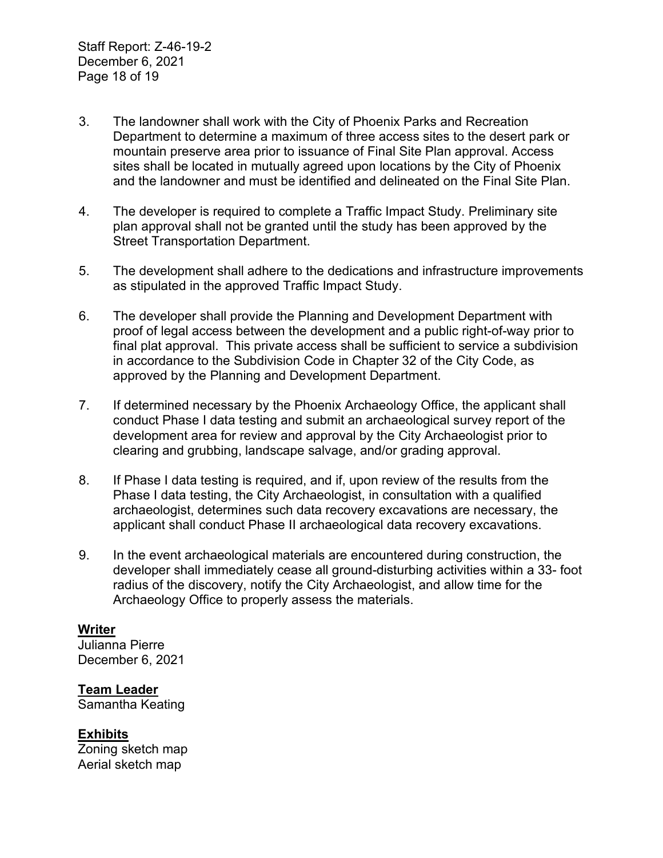- 3. The landowner shall work with the City of Phoenix Parks and Recreation Department to determine a maximum of three access sites to the desert park or mountain preserve area prior to issuance of Final Site Plan approval. Access sites shall be located in mutually agreed upon locations by the City of Phoenix and the landowner and must be identified and delineated on the Final Site Plan.
- 4. The developer is required to complete a Traffic Impact Study. Preliminary site plan approval shall not be granted until the study has been approved by the Street Transportation Department.
- 5. The development shall adhere to the dedications and infrastructure improvements as stipulated in the approved Traffic Impact Study.
- 6. The developer shall provide the Planning and Development Department with proof of legal access between the development and a public right-of-way prior to final plat approval. This private access shall be sufficient to service a subdivision in accordance to the Subdivision Code in Chapter 32 of the City Code, as approved by the Planning and Development Department.
- 7. If determined necessary by the Phoenix Archaeology Office, the applicant shall conduct Phase I data testing and submit an archaeological survey report of the development area for review and approval by the City Archaeologist prior to clearing and grubbing, landscape salvage, and/or grading approval.
- 8. If Phase I data testing is required, and if, upon review of the results from the Phase I data testing, the City Archaeologist, in consultation with a qualified archaeologist, determines such data recovery excavations are necessary, the applicant shall conduct Phase II archaeological data recovery excavations.
- 9. In the event archaeological materials are encountered during construction, the developer shall immediately cease all ground-disturbing activities within a 33- foot radius of the discovery, notify the City Archaeologist, and allow time for the Archaeology Office to properly assess the materials.

#### **Writer**

Julianna Pierre December 6, 2021

#### **Team Leader**

Samantha Keating

#### **Exhibits**

Zoning sketch map Aerial sketch map